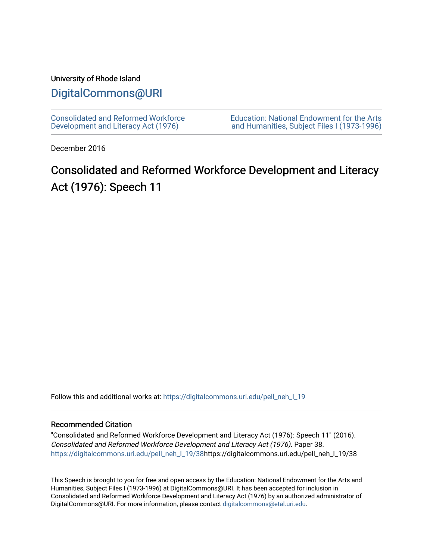## University of Rhode Island

## [DigitalCommons@URI](https://digitalcommons.uri.edu/)

[Consolidated and Reformed Workforce](https://digitalcommons.uri.edu/pell_neh_I_19)  [Development and Literacy Act \(1976\)](https://digitalcommons.uri.edu/pell_neh_I_19) 

[Education: National Endowment for the Arts](https://digitalcommons.uri.edu/pell_neh_I)  [and Humanities, Subject Files I \(1973-1996\)](https://digitalcommons.uri.edu/pell_neh_I) 

December 2016

# Consolidated and Reformed Workforce Development and Literacy Act (1976): Speech 11

Follow this and additional works at: https://digitalcommons.uri.edu/pell\_neh\_I\_19

### Recommended Citation

"Consolidated and Reformed Workforce Development and Literacy Act (1976): Speech 11" (2016). Consolidated and Reformed Workforce Development and Literacy Act (1976). Paper 38. [https://digitalcommons.uri.edu/pell\\_neh\\_I\\_19/38h](https://digitalcommons.uri.edu/pell_neh_I_19/38?utm_source=digitalcommons.uri.edu%2Fpell_neh_I_19%2F38&utm_medium=PDF&utm_campaign=PDFCoverPages)ttps://digitalcommons.uri.edu/pell\_neh\_I\_19/38

This Speech is brought to you for free and open access by the Education: National Endowment for the Arts and Humanities, Subject Files I (1973-1996) at DigitalCommons@URI. It has been accepted for inclusion in Consolidated and Reformed Workforce Development and Literacy Act (1976) by an authorized administrator of DigitalCommons@URI. For more information, please contact [digitalcommons@etal.uri.edu.](mailto:digitalcommons@etal.uri.edu)